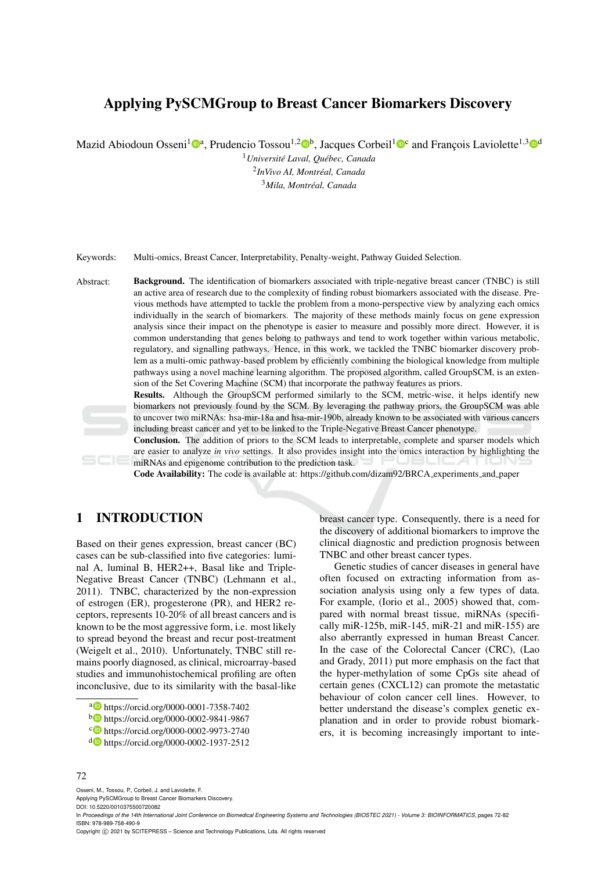# Applying PySCMGroup to Breast Cancer Biomarkers Discovery

Mazid Abiodoun Osseni<sup>1</sup><sup>®</sup>, Prudencio Tossou<sup>1,2</sup><sup>®</sup>, Jacques Corbeil<sup>1</sup><sup>®</sup> and François Laviolette<sup>1,3</sup><sup>®</sup>

<sup>1</sup> Université Laval, Québec, Canada 2 *InVivo AI, Montreal, Canada ´* <sup>3</sup>*Mila, Montreal, Canada ´*

Keywords: Multi-omics, Breast Cancer, Interpretability, Penalty-weight, Pathway Guided Selection.

Abstract: Background. The identification of biomarkers associated with triple-negative breast cancer (TNBC) is still an active area of research due to the complexity of finding robust biomarkers associated with the disease. Previous methods have attempted to tackle the problem from a mono-perspective view by analyzing each omics individually in the search of biomarkers. The majority of these methods mainly focus on gene expression analysis since their impact on the phenotype is easier to measure and possibly more direct. However, it is common understanding that genes belong to pathways and tend to work together within various metabolic, regulatory, and signalling pathways. Hence, in this work, we tackled the TNBC biomarker discovery problem as a multi-omic pathway-based problem by efficiently combining the biological knowledge from multiple pathways using a novel machine learning algorithm. The proposed algorithm, called GroupSCM, is an extension of the Set Covering Machine (SCM) that incorporate the pathway features as priors.

> Results. Although the GroupSCM performed similarly to the SCM, metric-wise, it helps identify new biomarkers not previously found by the SCM. By leveraging the pathway priors, the GroupSCM was able to uncover two miRNAs: hsa-mir-18a and hsa-mir-190b, already known to be associated with various cancers including breast cancer and yet to be linked to the Triple-Negative Breast Cancer phenotype.

> Conclusion. The addition of priors to the SCM leads to interpretable, complete and sparser models which are easier to analyze *in vivo* settings. It also provides insight into the omics interaction by highlighting the miRNAs and epigenome contribution to the prediction task.

Code Availability: The code is available at: https://github.com/dizam92/BRCA experiments and paper

# 1 INTRODUCTION

Based on their genes expression, breast cancer (BC) cases can be sub-classified into five categories: luminal A, luminal B, HER2++, Basal like and Triple-Negative Breast Cancer (TNBC) (Lehmann et al., 2011). TNBC, characterized by the non-expression of estrogen (ER), progesterone (PR), and HER2 receptors, represents 10-20% of all breast cancers and is known to be the most aggressive form, i.e. most likely to spread beyond the breast and recur post-treatment (Weigelt et al., 2010). Unfortunately, TNBC still remains poorly diagnosed, as clinical, microarray-based studies and immunohistochemical profiling are often inconclusive, due to its similarity with the basal-like breast cancer type. Consequently, there is a need for the discovery of additional biomarkers to improve the clinical diagnostic and prediction prognosis between TNBC and other breast cancer types.

Genetic studies of cancer diseases in general have often focused on extracting information from association analysis using only a few types of data. For example, (Iorio et al., 2005) showed that, compared with normal breast tissue, miRNAs (specifically miR-125b, miR-145, miR-21 and miR-155) are also aberrantly expressed in human Breast Cancer. In the case of the Colorectal Cancer (CRC), (Lao and Grady, 2011) put more emphasis on the fact that the hyper-methylation of some CpGs site ahead of certain genes (CXCL12) can promote the metastatic behaviour of colon cancer cell lines. However, to better understand the disease's complex genetic explanation and in order to provide robust biomarkers, it is becoming increasingly important to inte-

#### 72

Osseni, M., Tossou, P., Corbeil, J. and Laviolette, F.

Applying PySCMGroup to Breast Cancer Biomarkers Discovery.

DOI: 10.5220/0010375500720082

Copyright © 2021 by SCITEPRESS - Science and Technology Publications, Lda. All rights reserved

<sup>a</sup> https://orcid.org/0000-0001-7358-7402

<sup>b</sup> https://orcid.org/0000-0002-9841-9867

c https://orcid.org/0000-0002-9973-2740

<sup>d</sup> https://orcid.org/0000-0002-1937-2512

In *Proceedings of the 14th International Joint Conference on Biomedical Engineering Systems and Technologies (BIOSTEC 2021) - Volume 3: BIOINFORMATICS*, pages 72-82 ISBN: 978-989-758-490-9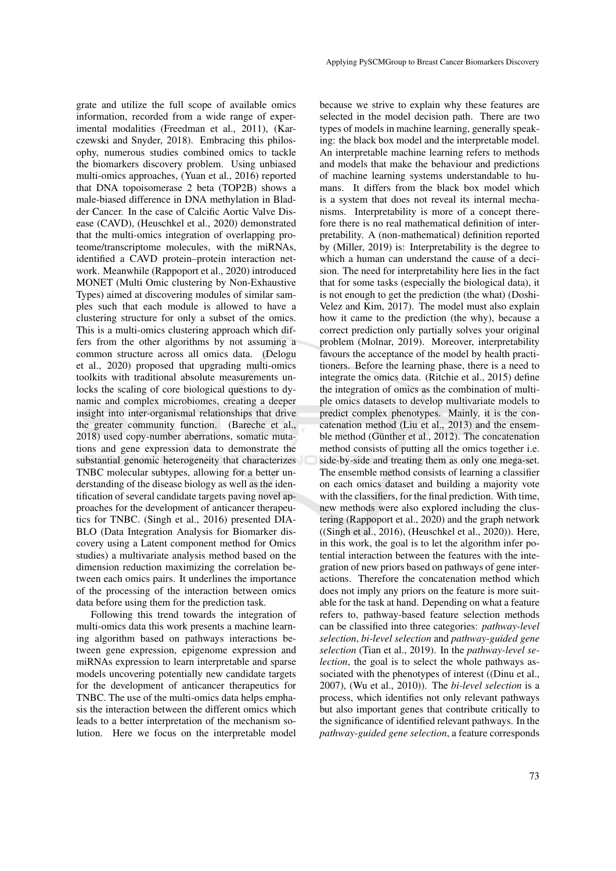grate and utilize the full scope of available omics information, recorded from a wide range of experimental modalities (Freedman et al., 2011), (Karczewski and Snyder, 2018). Embracing this philosophy, numerous studies combined omics to tackle the biomarkers discovery problem. Using unbiased multi-omics approaches, (Yuan et al., 2016) reported that DNA topoisomerase 2 beta (TOP2B) shows a male-biased difference in DNA methylation in Bladder Cancer. In the case of Calcific Aortic Valve Disease (CAVD), (Heuschkel et al., 2020) demonstrated that the multi-omics integration of overlapping proteome/transcriptome molecules, with the miRNAs, identified a CAVD protein–protein interaction network. Meanwhile (Rappoport et al., 2020) introduced MONET (Multi Omic clustering by Non-Exhaustive Types) aimed at discovering modules of similar samples such that each module is allowed to have a clustering structure for only a subset of the omics. This is a multi-omics clustering approach which differs from the other algorithms by not assuming a common structure across all omics data. (Delogu et al., 2020) proposed that upgrading multi-omics toolkits with traditional absolute measurements unlocks the scaling of core biological questions to dynamic and complex microbiomes, creating a deeper insight into inter-organismal relationships that drive the greater community function. (Bareche et al., 2018) used copy-number aberrations, somatic mutations and gene expression data to demonstrate the substantial genomic heterogeneity that characterizes TNBC molecular subtypes, allowing for a better understanding of the disease biology as well as the identification of several candidate targets paving novel approaches for the development of anticancer therapeutics for TNBC. (Singh et al., 2016) presented DIA-BLO (Data Integration Analysis for Biomarker discovery using a Latent component method for Omics studies) a multivariate analysis method based on the dimension reduction maximizing the correlation between each omics pairs. It underlines the importance of the processing of the interaction between omics data before using them for the prediction task.

Following this trend towards the integration of multi-omics data this work presents a machine learning algorithm based on pathways interactions between gene expression, epigenome expression and miRNAs expression to learn interpretable and sparse models uncovering potentially new candidate targets for the development of anticancer therapeutics for TNBC. The use of the multi-omics data helps emphasis the interaction between the different omics which leads to a better interpretation of the mechanism solution. Here we focus on the interpretable model

because we strive to explain why these features are selected in the model decision path. There are two types of models in machine learning, generally speaking: the black box model and the interpretable model. An interpretable machine learning refers to methods and models that make the behaviour and predictions of machine learning systems understandable to humans. It differs from the black box model which is a system that does not reveal its internal mechanisms. Interpretability is more of a concept therefore there is no real mathematical definition of interpretability. A (non-mathematical) definition reported by (Miller, 2019) is: Interpretability is the degree to which a human can understand the cause of a decision. The need for interpretability here lies in the fact that for some tasks (especially the biological data), it is not enough to get the prediction (the what) (Doshi-Velez and Kim, 2017). The model must also explain how it came to the prediction (the why), because a correct prediction only partially solves your original problem (Molnar, 2019). Moreover, interpretability favours the acceptance of the model by health practitioners. Before the learning phase, there is a need to integrate the omics data. (Ritchie et al., 2015) define the integration of omics as the combination of multiple omics datasets to develop multivariate models to predict complex phenotypes. Mainly, it is the concatenation method (Liu et al., 2013) and the ensemble method (Günther et al., 2012). The concatenation method consists of putting all the omics together i.e. side-by-side and treating them as only one mega-set. The ensemble method consists of learning a classifier on each omics dataset and building a majority vote with the classifiers, for the final prediction. With time, new methods were also explored including the clustering (Rappoport et al., 2020) and the graph network ((Singh et al., 2016), (Heuschkel et al., 2020)). Here, in this work, the goal is to let the algorithm infer potential interaction between the features with the integration of new priors based on pathways of gene interactions. Therefore the concatenation method which does not imply any priors on the feature is more suitable for the task at hand. Depending on what a feature refers to, pathway-based feature selection methods can be classified into three categories: *pathway-level selection*, *bi-level selection* and *pathway-guided gene selection* (Tian et al., 2019). In the *pathway-level selection*, the goal is to select the whole pathways associated with the phenotypes of interest ((Dinu et al., 2007), (Wu et al., 2010)). The *bi-level selection* is a process, which identifies not only relevant pathways but also important genes that contribute critically to the significance of identified relevant pathways. In the *pathway-guided gene selection*, a feature corresponds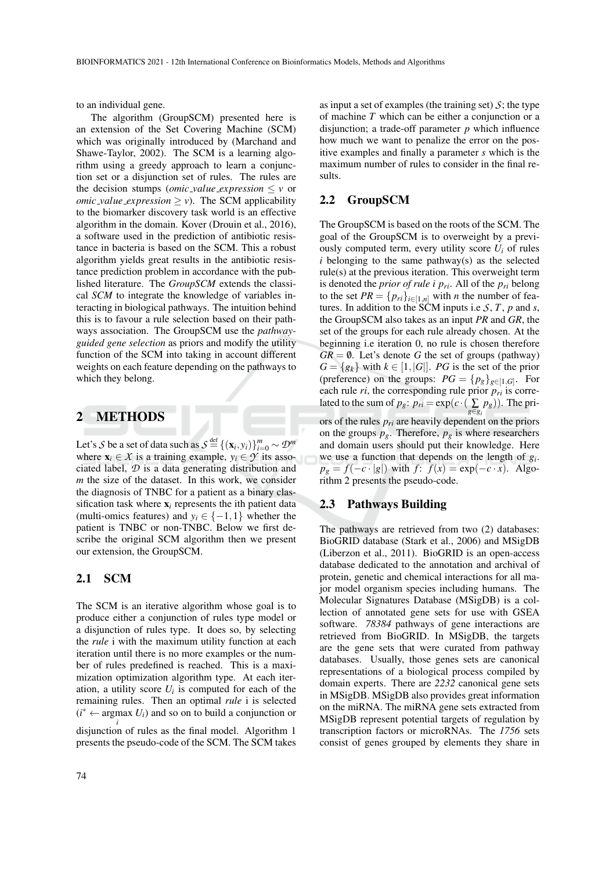to an individual gene.

The algorithm (GroupSCM) presented here is an extension of the Set Covering Machine (SCM) which was originally introduced by (Marchand and Shawe-Taylor, 2002). The SCM is a learning algorithm using a greedy approach to learn a conjunction set or a disjunction set of rules. The rules are the decision stumps (*omic\_value\_expression*  $\lt$  *v* or *omic\_value\_expression*  $> v$ ). The SCM applicability to the biomarker discovery task world is an effective algorithm in the domain. Kover (Drouin et al., 2016), a software used in the prediction of antibiotic resistance in bacteria is based on the SCM. This a robust algorithm yields great results in the antibiotic resistance prediction problem in accordance with the published literature. The *GroupSCM* extends the classical *SCM* to integrate the knowledge of variables interacting in biological pathways. The intuition behind this is to favour a rule selection based on their pathways association. The GroupSCM use the *pathwayguided gene selection* as priors and modify the utility function of the SCM into taking in account different weights on each feature depending on the pathways to which they belong.

## 2 METHODS

Let's *S* be a set of data such as  $S \stackrel{\text{def}}{=} \{(\mathbf{x}_i, y_i)\}_{i=0}^m \sim \mathcal{D}^m$ where  $\mathbf{x}_i \in \mathcal{X}$  is a training example,  $y_i \in \mathcal{Y}$  its associated label, *D* is a data generating distribution and *m* the size of the dataset. In this work, we consider the diagnosis of TNBC for a patient as a binary classification task where  $x_i$  represents the ith patient data (multi-omics features) and  $y_i \in \{-1, 1\}$  whether the patient is TNBC or non-TNBC. Below we first describe the original SCM algorithm then we present our extension, the GroupSCM.

#### 2.1 SCM

The SCM is an iterative algorithm whose goal is to produce either a conjunction of rules type model or a disjunction of rules type. It does so, by selecting the *rule* i with the maximum utility function at each iteration until there is no more examples or the number of rules predefined is reached. This is a maximization optimization algorithm type. At each iteration, a utility score  $U_i$  is computed for each of the remaining rules. Then an optimal *rule* i is selected  $(i^* \leftarrow \text{argmax } U_i)$  and so on to build a conjunction or

*i* disjunction of rules as the final model. Algorithm 1 presents the pseudo-code of the SCM. The SCM takes

as input a set of examples (the training set)  $S$ ; the type of machine *T* which can be either a conjunction or a disjunction; a trade-off parameter *p* which influence how much we want to penalize the error on the positive examples and finally a parameter *s* which is the maximum number of rules to consider in the final results.

#### 2.2 GroupSCM

The GroupSCM is based on the roots of the SCM. The goal of the GroupSCM is to overweight by a previously computed term, every utility score  $U_i$  of rules  $i$  belonging to the same pathway(s) as the selected rule(s) at the previous iteration. This overweight term is denoted the *prior of rule i*  $p_{ri}$ *. All of the*  $p_{ri}$  *belong* to the set  $PR = \{p_{ri}\}_{i \in [1,n]}$  with *n* the number of features. In addition to the SCM inputs i.e *S*, *T*, *p* and *s*, the GroupSCM also takes as an input *PR* and *GR*, the set of the groups for each rule already chosen. At the beginning i.e iteration 0, no rule is chosen therefore  $GR = \emptyset$ . Let's denote *G* the set of groups (pathway)  $G = \{g_k\}$  with  $k \in [1, |G|]$ . *PG* is the set of the prior (preference) on the groups:  $PG = \{p_g\}_{g \in [1, G]}$ . For each rule  $ri$ , the corresponding rule prior  $p_{ri}$  is correlated to the sum of  $p_g$ :  $p_{ri} = \exp(c \cdot (\sum_{g \in g_i} p_g))$ . The priors of the rules  $p_{ri}$  are heavily dependent on the priors on the groups  $p_g$ . Therefore,  $p_g$  is where researchers and domain users should put their knowledge. Here we use a function that depends on the length of *g<sup>i</sup>* .  $p_g = f(-c \cdot |g|)$  with  $f: f(x) = \exp(-c \cdot x)$ . Algorithm 2 presents the pseudo-code.

#### 2.3 Pathways Building

The pathways are retrieved from two (2) databases: BioGRID database (Stark et al., 2006) and MSigDB (Liberzon et al., 2011). BioGRID is an open-access database dedicated to the annotation and archival of protein, genetic and chemical interactions for all major model organism species including humans. The Molecular Signatures Database (MSigDB) is a collection of annotated gene sets for use with GSEA software. *78384* pathways of gene interactions are retrieved from BioGRID. In MSigDB, the targets are the gene sets that were curated from pathway databases. Usually, those genes sets are canonical representations of a biological process compiled by domain experts. There are *2232* canonical gene sets in MSigDB. MSigDB also provides great information on the miRNA. The miRNA gene sets extracted from MSigDB represent potential targets of regulation by transcription factors or microRNAs. The *1756* sets consist of genes grouped by elements they share in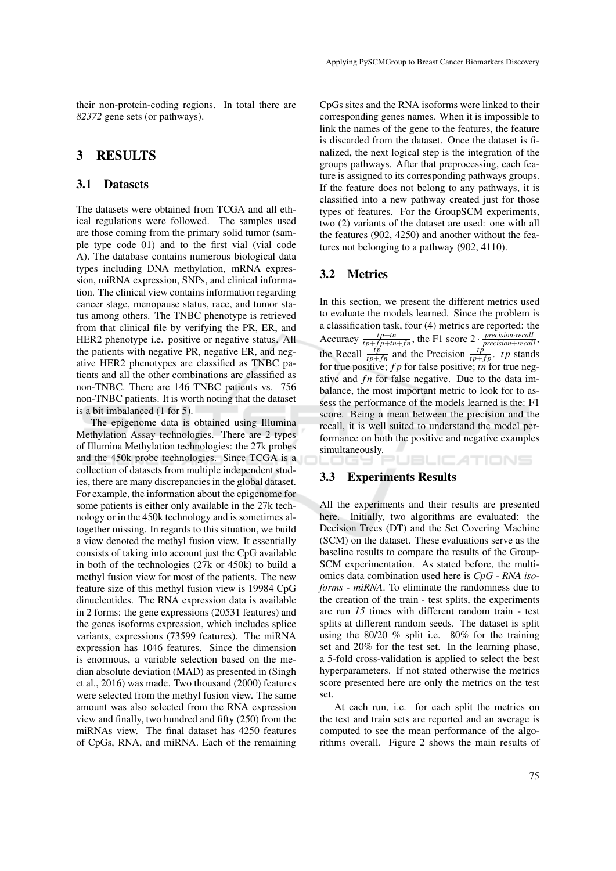their non-protein-coding regions. In total there are *82372* gene sets (or pathways).

### 3 RESULTS

#### 3.1 Datasets

The datasets were obtained from TCGA and all ethical regulations were followed. The samples used are those coming from the primary solid tumor (sample type code 01) and to the first vial (vial code A). The database contains numerous biological data types including DNA methylation, mRNA expression, miRNA expression, SNPs, and clinical information. The clinical view contains information regarding cancer stage, menopause status, race, and tumor status among others. The TNBC phenotype is retrieved from that clinical file by verifying the PR, ER, and HER2 phenotype i.e. positive or negative status. All the patients with negative PR, negative ER, and negative HER2 phenotypes are classified as TNBC patients and all the other combinations are classified as non-TNBC. There are 146 TNBC patients vs. 756 non-TNBC patients. It is worth noting that the dataset is a bit imbalanced (1 for 5).

The epigenome data is obtained using Illumina Methylation Assay technologies. There are 2 types of Illumina Methylation technologies: the 27k probes and the 450k probe technologies. Since TCGA is a collection of datasets from multiple independent studies, there are many discrepancies in the global dataset. For example, the information about the epigenome for some patients is either only available in the 27k technology or in the 450k technology and is sometimes altogether missing. In regards to this situation, we build a view denoted the methyl fusion view. It essentially consists of taking into account just the CpG available in both of the technologies (27k or 450k) to build a methyl fusion view for most of the patients. The new feature size of this methyl fusion view is 19984 CpG dinucleotides. The RNA expression data is available in 2 forms: the gene expressions (20531 features) and the genes isoforms expression, which includes splice variants, expressions (73599 features). The miRNA expression has 1046 features. Since the dimension is enormous, a variable selection based on the median absolute deviation (MAD) as presented in (Singh et al., 2016) was made. Two thousand (2000) features were selected from the methyl fusion view. The same amount was also selected from the RNA expression view and finally, two hundred and fifty (250) from the miRNAs view. The final dataset has 4250 features of CpGs, RNA, and miRNA. Each of the remaining

CpGs sites and the RNA isoforms were linked to their corresponding genes names. When it is impossible to link the names of the gene to the features, the feature is discarded from the dataset. Once the dataset is finalized, the next logical step is the integration of the groups pathways. After that preprocessing, each feature is assigned to its corresponding pathways groups. If the feature does not belong to any pathways, it is classified into a new pathway created just for those types of features. For the GroupSCM experiments, two (2) variants of the dataset are used: one with all the features (902, 4250) and another without the features not belonging to a pathway (902, 4110).

#### 3.2 Metrics

In this section, we present the different metrics used to evaluate the models learned. Since the problem is a classification task, four (4) metrics are reported: the Accuracy  $\frac{tp+tn}{tp+fp+tn+fn}$ , the F1 score  $2 \cdot \frac{precision\cdot recall}{precision + recall}$ , the Recall  $\frac{tp}{tp+fn}$  and the Precision  $\frac{tp}{tp+fp}$ . *tp* stands for true positive; *f p* for false positive; *tn* for true negative and *fn* for false negative. Due to the data imbalance, the most important metric to look for to assess the performance of the models learned is the: F1 score. Being a mean between the precision and the recall, it is well suited to understand the model performance on both the positive and negative examples simultaneously.

**JBLICATIONS** 

#### 3.3 Experiments Results

All the experiments and their results are presented here. Initially, two algorithms are evaluated: the Decision Trees (DT) and the Set Covering Machine (SCM) on the dataset. These evaluations serve as the baseline results to compare the results of the Group-SCM experimentation. As stated before, the multiomics data combination used here is *CpG - RNA isoforms - miRNA*. To eliminate the randomness due to the creation of the train - test splits, the experiments are run *15* times with different random train - test splits at different random seeds. The dataset is split using the 80/20 % split i.e. 80% for the training set and 20% for the test set. In the learning phase, a 5-fold cross-validation is applied to select the best hyperparameters. If not stated otherwise the metrics score presented here are only the metrics on the test set.

At each run, i.e. for each split the metrics on the test and train sets are reported and an average is computed to see the mean performance of the algorithms overall. Figure 2 shows the main results of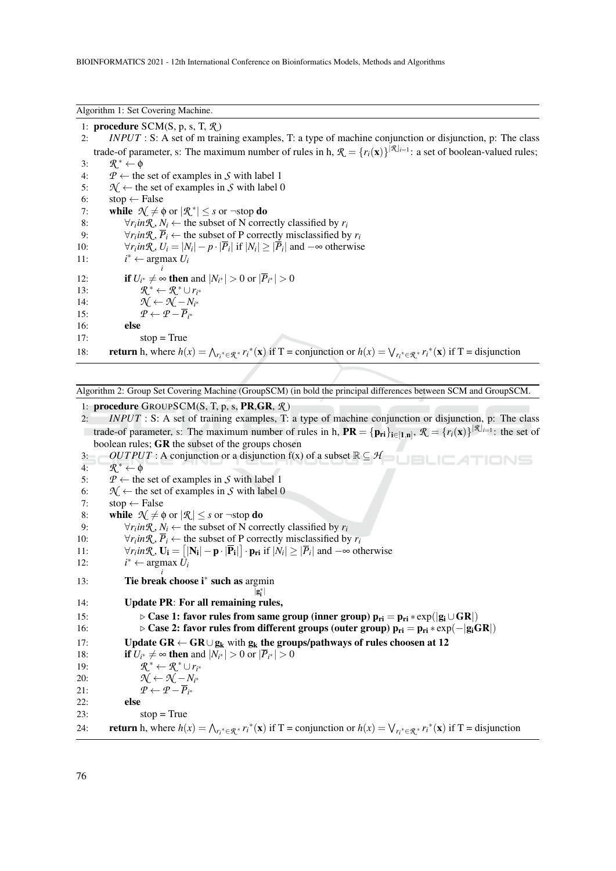#### Algorithm 1: Set Covering Machine.

1: procedure SCM(S, p, s, T, *R* ) 2: *INPUT* : S: A set of m training examples, T: a type of machine conjunction or disjunction, p: The class trade-of parameter, s: The maximum number of rules in h,  $\mathcal{R} = \{r_i(\mathbf{x})\}^{|\mathcal{R}|_{i=1}}$ : a set of boolean-valued rules; 3:  $\mathcal{R}^* \leftarrow \phi$ 4:  $P \leftarrow$  the set of examples in *S* with label 1<br>5:  $\mathcal{N} \leftarrow$  the set of examples in *S* with label  $\mathcal{H} \leftarrow$  the set of examples in *S* with label 0 6:  $stop \leftarrow False$ 7: while  $\mathcal{N} \neq \phi$  or  $|\mathcal{R}^*| \leq s$  or  $\neg$ stop do 8:  $\forall r_i \in \mathcal{R}, N_i \leftarrow \text{the subset of } N \text{ correctly classified by } r_i$ 9:  $\forall r_i \in \mathcal{R}, \overline{P}_i \leftarrow$  the subset of P correctly misclassified by  $r_i$ 10:  $\forall r_i \text{in} \mathcal{R}, U_i = |N_i| - p \cdot |\overline{P}_i| \text{ if } |N_i| \geq |\overline{P}_i| \text{ and } -\infty \text{ otherwise}$ 11: *i* <sup>∗</sup> ← argmax *Ui i* 12: **if**  $U_{i^*} \neq ∞$  **then** and  $|N_{i^*}| > 0$  or  $|\overline{P}_{i^*}| > 0$ 13:<br>14: <sup>∗</sup> ← *R* <sup>∗</sup> ∪*r<sup>i</sup>* ∗ 14:  $\mathcal{N} \leftarrow \mathcal{N} - N_{i^*}$ 15:  $\mathcal{P} \leftarrow \mathcal{P} - \overline{P}_{i^*}$ 16: else  $17:$  stop = True 18: **return** h, where  $h(x) = \bigwedge_{r_i^* \in \mathcal{R}^*} r_i^*(x)$  if T = conjunction or  $h(x) = \bigvee_{r_i^* \in \mathcal{R}^*} r_i^*(x)$  if T = disjunction

Algorithm 2: Group Set Covering Machine (GroupSCM) (in bold the principal differences between SCM and GroupSCM.

1: procedure GROUPSCM(S, T, p, s, PR,GR, *R* )

2: *INPUT* : S: A set of training examples, T: a type of machine conjunction or disjunction, p: The class trade-of parameter, s: The maximum number of rules in h,  $\mathbf{PR} = {\{\mathbf{p}_{ri}\}_{i \in [1,n]}}, \mathcal{R} = {\{r_i(\mathbf{x})\}}^{|\mathcal{R}|_{i=1}}$ : the set of boolean rules; GR the subset of the groups chosen

ATIONS

3: *OUTPUT* : A conjunction or a disjunction  $f(x)$  of a subset  $\mathbb{R} \subseteq H$ **JBLIC** 

 $4:$  $\mathcal{R}^* \leftarrow \Phi$ 

5:  $\mathcal{P} \leftarrow$  the set of examples in *S* with label 1<br>6:  $\mathcal{N} \leftarrow$  the set of examples in *S* with label

6:  $\mathcal{N} \leftarrow$  the set of examples in *S* with label 0<br>7: stop ← False

 $stop \leftarrow False$ 

8: while  $\mathcal{N} \neq \emptyset$  or  $|\mathcal{R}| \leq s$  or  $\neg$ stop do

9:  $\forall r_i \in \mathcal{R}, N_i \leftarrow \text{the subset of } N \text{ correctly classified by } r_i$ 

10:  $\forall r_i \in \mathcal{R}, \overline{P}_i \leftarrow \text{the subset of } P \text{ correctly misclassified by } r_i$ 

11: 
$$
\forall r_i \text{ in } \mathcal{R}, \mathbf{U_i} = [|\mathbf{N_i}| - \mathbf{p} \cdot |\mathbf{\overline{P_i}}|] \cdot \mathbf{p_{ri}} \text{ if } |N_i| \geq |\mathbf{\overline{P_i}}| \text{ and } -\infty \text{ otherwise}
$$

12: *i* <sup>∗</sup> ← argmax *Ui*

13: **Tie break choose i<sup>∗</sup> such as** argmin ∗

|g i 14: Update PR: For all remaining rules,

15:  $\triangleright$  Case 1: favor rules from same group (inner group)  $p_{ri} = p_{ri} * exp(|g_i \cup GR|)$ 16:  $\triangleright$  Case 2: favor rules from different groups (outer group)  $p_{ri} = p_{ri} * exp(-|g_iGR|)$ 17: Update  $GR \leftarrow GR \cup g_k$  with  $g_k$  the groups/pathways of rules choosen at 12 18: **if**  $U_{i^*} \neq ∞$  **then** and  $|N_{i^*}| > 0$  or  $|\overline{P}_{i^*}| > 0$ 19: *R* <sup>∗</sup> ← *R* <sup>∗</sup> ∪*r<sup>i</sup>* ∗ 20:  $\mathcal{N} \leftarrow \mathcal{N} - N_{i^*}$ 21:  $\mathcal{P} \leftarrow \mathcal{P} - \overline{P}_{i^*}$ 22: else  $23:$  stop = True 24: **return** h, where  $h(x) = \bigwedge_{r_i^* \in \mathcal{R}^*} r_i^*(x)$  if T = conjunction or  $h(x) = \bigvee_{r_i^* \in \mathcal{R}^*} r_i^*(x)$  if T = disjunction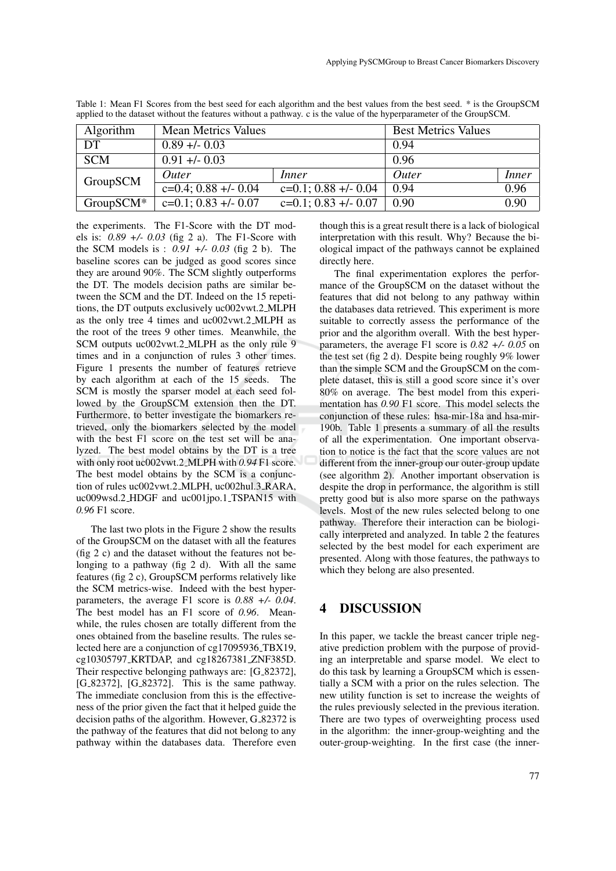| Algorithm   | <b>Mean Metrics Values</b> |                         | <b>Best Metrics Values</b> |              |
|-------------|----------------------------|-------------------------|----------------------------|--------------|
| DT          | $0.89 + - 0.03$            |                         | 0.94                       |              |
| <b>SCM</b>  | $0.91 + - 0.03$            |                         | 0.96                       |              |
| GroupSCM    | Outer                      | Inner                   | Outer                      | <i>Inner</i> |
|             | $c=0.4$ ; 0.88 +/- 0.04    | $c=0.1$ ; 0.88 +/- 0.04 | 0.94                       | 0.96         |
| $GroupSCM*$ | $c=0.1$ ; 0.83 +/- 0.07    | $c=0.1; 0.83 +1.007$    | 0.90                       | 0.90         |

Table 1: Mean F1 Scores from the best seed for each algorithm and the best values from the best seed. \* is the GroupSCM applied to the dataset without the features without a pathway. c is the value of the hyperparameter of the GroupSCM.

the experiments. The F1-Score with the DT models is: *0.89 +/- 0.03* (fig 2 a). The F1-Score with the SCM models is : *0.91 +/- 0.03* (fig 2 b). The baseline scores can be judged as good scores since they are around 90%. The SCM slightly outperforms the DT. The models decision paths are similar between the SCM and the DT. Indeed on the 15 repetitions, the DT outputs exclusively uc002vwt.2 MLPH as the only tree 4 times and uc002vwt.2 MLPH as the root of the trees 9 other times. Meanwhile, the SCM outputs uc002vwt.2 MLPH as the only rule 9 times and in a conjunction of rules 3 other times. Figure 1 presents the number of features retrieve by each algorithm at each of the 15 seeds. The SCM is mostly the sparser model at each seed followed by the GroupSCM extension then the DT. Furthermore, to better investigate the biomarkers retrieved, only the biomarkers selected by the model with the best F1 score on the test set will be analyzed. The best model obtains by the DT is a tree with only root uc002vwt.2 MLPH with *0.94* F1 score. The best model obtains by the SCM is a conjunction of rules uc002vwt.2 MLPH, uc002hul.3 RARA, uc009wsd.2 HDGF and uc001jpo.1 TSPAN15 with *0.96* F1 score.

The last two plots in the Figure 2 show the results of the GroupSCM on the dataset with all the features (fig 2 c) and the dataset without the features not belonging to a pathway (fig 2 d). With all the same features (fig 2 c), GroupSCM performs relatively like the SCM metrics-wise. Indeed with the best hyperparameters, the average F1 score is *0.88 +/- 0.04*. The best model has an F1 score of *0.96*. Meanwhile, the rules chosen are totally different from the ones obtained from the baseline results. The rules selected here are a conjunction of cg17095936 TBX19, cg10305797 KRTDAP, and cg18267381 ZNF385D. Their respective belonging pathways are: [G<sub>-82372]</sub>, [G<sub>-82372</sub>], [G<sub>-82372</sub>]. This is the same pathway. The immediate conclusion from this is the effectiveness of the prior given the fact that it helped guide the decision paths of the algorithm. However, G<sub>-82372</sub> is the pathway of the features that did not belong to any pathway within the databases data. Therefore even

though this is a great result there is a lack of biological interpretation with this result. Why? Because the biological impact of the pathways cannot be explained directly here.

The final experimentation explores the performance of the GroupSCM on the dataset without the features that did not belong to any pathway within the databases data retrieved. This experiment is more suitable to correctly assess the performance of the prior and the algorithm overall. With the best hyperparameters, the average F1 score is *0.82 +/- 0.05* on the test set (fig 2 d). Despite being roughly 9% lower than the simple SCM and the GroupSCM on the complete dataset, this is still a good score since it's over 80% on average. The best model from this experimentation has *0.90* F1 score. This model selects the conjunction of these rules: hsa-mir-18a and hsa-mir-190b. Table 1 presents a summary of all the results of all the experimentation. One important observation to notice is the fact that the score values are not different from the inner-group our outer-group update (see algorithm 2). Another important observation is despite the drop in performance, the algorithm is still pretty good but is also more sparse on the pathways levels. Most of the new rules selected belong to one pathway. Therefore their interaction can be biologically interpreted and analyzed. In table 2 the features selected by the best model for each experiment are presented. Along with those features, the pathways to which they belong are also presented.

# 4 DISCUSSION

In this paper, we tackle the breast cancer triple negative prediction problem with the purpose of providing an interpretable and sparse model. We elect to do this task by learning a GroupSCM which is essentially a SCM with a prior on the rules selection. The new utility function is set to increase the weights of the rules previously selected in the previous iteration. There are two types of overweighting process used in the algorithm: the inner-group-weighting and the outer-group-weighting. In the first case (the inner-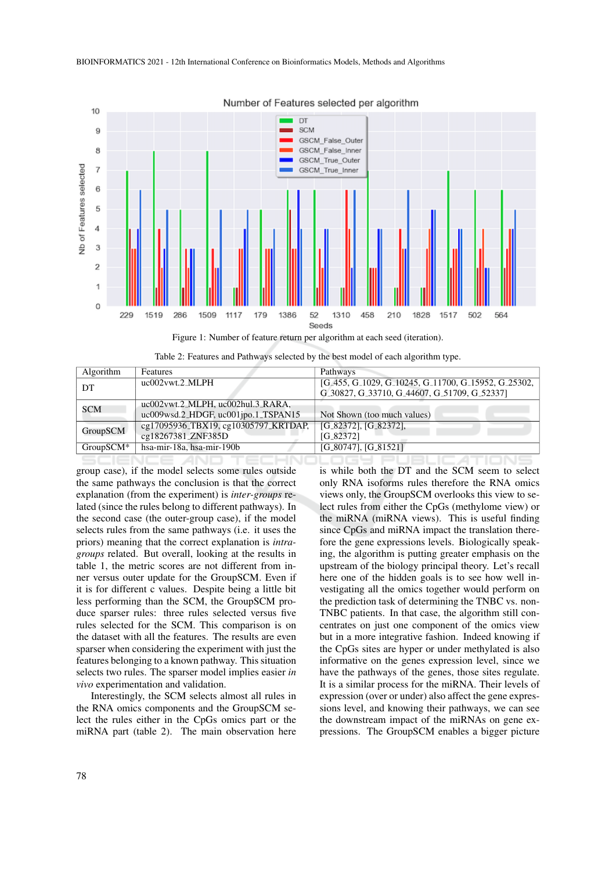

#### Number of Features selected per algorithm

Table 2: Features and Pathways selected by the best model of each algorithm type.

| Algorithm  | Features                             | Pathways                                                                                                                          |
|------------|--------------------------------------|-----------------------------------------------------------------------------------------------------------------------------------|
| DT         | uc002vwt.2_MLPH                      | [G <sub>-</sub> 455, G <sub>-1029</sub> , G <sub>-10245</sub> , G <sub>-11700</sub> , G <sub>-15952</sub> , G <sub>-25302</sub> , |
|            |                                      | G_30827, G_33710, G_44607, G_51709, G_52337]                                                                                      |
| <b>SCM</b> | uc002vwt.2_MLPH, uc002hul.3_RARA,    |                                                                                                                                   |
|            | uc009wsd.2_HDGF, uc001jpo.1_TSPAN15  | Not Shown (too much values)                                                                                                       |
| GroupSCM   | cg17095936_TBX19, cg10305797_KRTDAP, | $[G_82372]$ , $[G_82372]$ ,                                                                                                       |
|            | cg18267381_ZNF385D                   | $[G_82372]$                                                                                                                       |
| GroupSCM*  | hsa-mir-18a, hsa-mir-190b            | $[G_80747]$ , $[G_81521]$                                                                                                         |
|            |                                      |                                                                                                                                   |

group case), if the model selects some rules outside the same pathways the conclusion is that the correct explanation (from the experiment) is *inter-groups* related (since the rules belong to different pathways). In the second case (the outer-group case), if the model selects rules from the same pathways (i.e. it uses the priors) meaning that the correct explanation is *intragroups* related. But overall, looking at the results in table 1, the metric scores are not different from inner versus outer update for the GroupSCM. Even if it is for different c values. Despite being a little bit less performing than the SCM, the GroupSCM produce sparser rules: three rules selected versus five rules selected for the SCM. This comparison is on the dataset with all the features. The results are even sparser when considering the experiment with just the features belonging to a known pathway. This situation selects two rules. The sparser model implies easier *in vivo* experimentation and validation.

Interestingly, the SCM selects almost all rules in the RNA omics components and the GroupSCM select the rules either in the CpGs omics part or the miRNA part (table 2). The main observation here is while both the DT and the SCM seem to select only RNA isoforms rules therefore the RNA omics views only, the GroupSCM overlooks this view to select rules from either the CpGs (methylome view) or the miRNA (miRNA views). This is useful finding since CpGs and miRNA impact the translation therefore the gene expressions levels. Biologically speaking, the algorithm is putting greater emphasis on the upstream of the biology principal theory. Let's recall here one of the hidden goals is to see how well investigating all the omics together would perform on the prediction task of determining the TNBC vs. non-TNBC patients. In that case, the algorithm still concentrates on just one component of the omics view but in a more integrative fashion. Indeed knowing if the CpGs sites are hyper or under methylated is also informative on the genes expression level, since we have the pathways of the genes, those sites regulate. It is a similar process for the miRNA. Their levels of expression (over or under) also affect the gene expressions level, and knowing their pathways, we can see the downstream impact of the miRNAs on gene expressions. The GroupSCM enables a bigger picture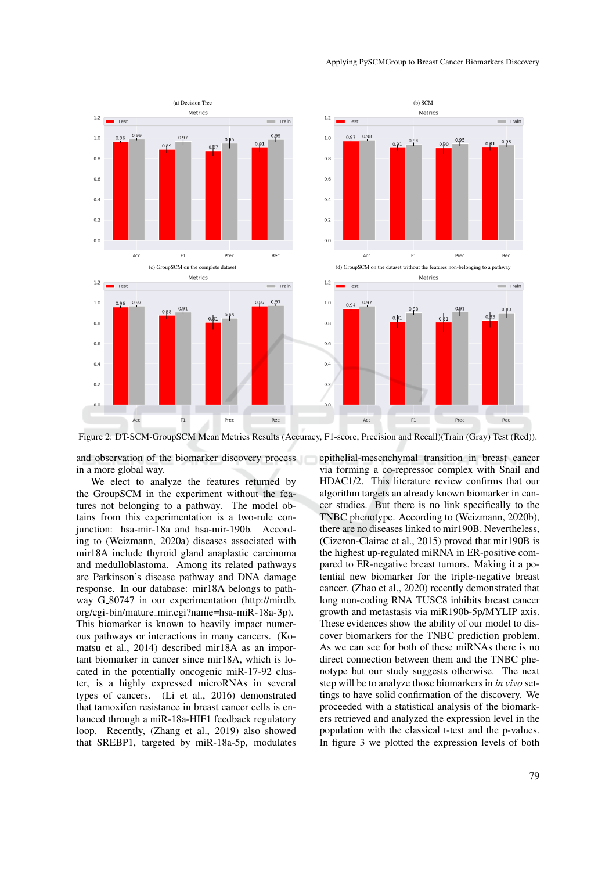

#### Applying PySCMGroup to Breast Cancer Biomarkers Discovery

Figure 2: DT-SCM-GroupSCM Mean Metrics Results (Accuracy, F1-score, Precision and Recall)(Train (Gray) Test (Red)).

and observation of the biomarker discovery process in a more global way.

We elect to analyze the features returned by the GroupSCM in the experiment without the features not belonging to a pathway. The model obtains from this experimentation is a two-rule conjunction: hsa-mir-18a and hsa-mir-190b. According to (Weizmann, 2020a) diseases associated with mir18A include thyroid gland anaplastic carcinoma and medulloblastoma. Among its related pathways are Parkinson's disease pathway and DNA damage response. In our database: mir18A belongs to pathway G<sub>-80747</sub> in our experimentation (http://mirdb. org/cgi-bin/mature mir.cgi?name=hsa-miR-18a-3p). This biomarker is known to heavily impact numerous pathways or interactions in many cancers. (Komatsu et al., 2014) described mir18A as an important biomarker in cancer since mir18A, which is located in the potentially oncogenic miR-17-92 cluster, is a highly expressed microRNAs in several types of cancers. (Li et al., 2016) demonstrated that tamoxifen resistance in breast cancer cells is enhanced through a miR-18a-HIF1 feedback regulatory loop. Recently, (Zhang et al., 2019) also showed that SREBP1, targeted by miR-18a-5p, modulates epithelial-mesenchymal transition in breast cancer via forming a co-repressor complex with Snail and HDAC1/2. This literature review confirms that our algorithm targets an already known biomarker in cancer studies. But there is no link specifically to the TNBC phenotype. According to (Weizmann, 2020b), there are no diseases linked to mir190B. Nevertheless, (Cizeron-Clairac et al., 2015) proved that mir190B is the highest up-regulated miRNA in ER-positive compared to ER-negative breast tumors. Making it a potential new biomarker for the triple-negative breast cancer. (Zhao et al., 2020) recently demonstrated that long non-coding RNA TUSC8 inhibits breast cancer growth and metastasis via miR190b-5p/MYLIP axis. These evidences show the ability of our model to discover biomarkers for the TNBC prediction problem. As we can see for both of these miRNAs there is no direct connection between them and the TNBC phenotype but our study suggests otherwise. The next step will be to analyze those biomarkers in *in vivo* settings to have solid confirmation of the discovery. We proceeded with a statistical analysis of the biomarkers retrieved and analyzed the expression level in the population with the classical t-test and the p-values. In figure 3 we plotted the expression levels of both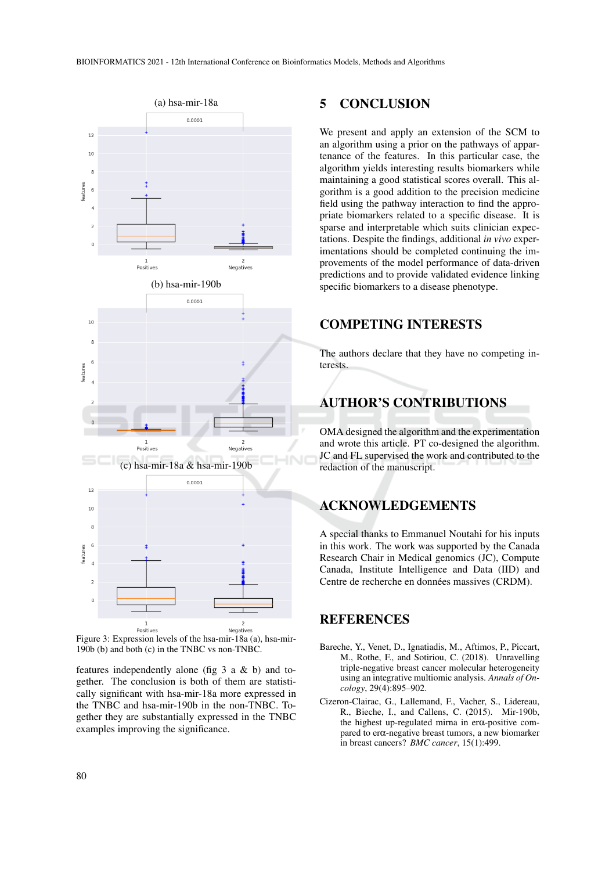

Figure 3: Expression levels of the hsa-mir-18a (a), hsa-mir-190b (b) and both (c) in the TNBC vs non-TNBC.

features independently alone (fig 3 a & b) and together. The conclusion is both of them are statistically significant with hsa-mir-18a more expressed in the TNBC and hsa-mir-190b in the non-TNBC. Together they are substantially expressed in the TNBC examples improving the significance.

### 5 CONCLUSION

We present and apply an extension of the SCM to an algorithm using a prior on the pathways of appartenance of the features. In this particular case, the algorithm yields interesting results biomarkers while maintaining a good statistical scores overall. This algorithm is a good addition to the precision medicine field using the pathway interaction to find the appropriate biomarkers related to a specific disease. It is sparse and interpretable which suits clinician expectations. Despite the findings, additional *in vivo* experimentations should be completed continuing the improvements of the model performance of data-driven predictions and to provide validated evidence linking specific biomarkers to a disease phenotype.

# COMPETING INTERESTS

The authors declare that they have no competing interests.

# AUTHOR'S CONTRIBUTIONS

OMA designed the algorithm and the experimentation and wrote this article. PT co-designed the algorithm. JC and FL supervised the work and contributed to the redaction of the manuscript.

# ACKNOWLEDGEMENTS

A special thanks to Emmanuel Noutahi for his inputs in this work. The work was supported by the Canada Research Chair in Medical genomics (JC), Compute Canada, Institute Intelligence and Data (IID) and Centre de recherche en données massives (CRDM).

## **REFERENCES**

- Bareche, Y., Venet, D., Ignatiadis, M., Aftimos, P., Piccart, M., Rothe, F., and Sotiriou, C. (2018). Unravelling triple-negative breast cancer molecular heterogeneity using an integrative multiomic analysis. *Annals of Oncology*, 29(4):895–902.
- Cizeron-Clairac, G., Lallemand, F., Vacher, S., Lidereau, R., Bieche, I., and Callens, C. (2015). Mir-190b, the highest up-regulated mirna in erα-positive compared to erα-negative breast tumors, a new biomarker in breast cancers? *BMC cancer*, 15(1):499.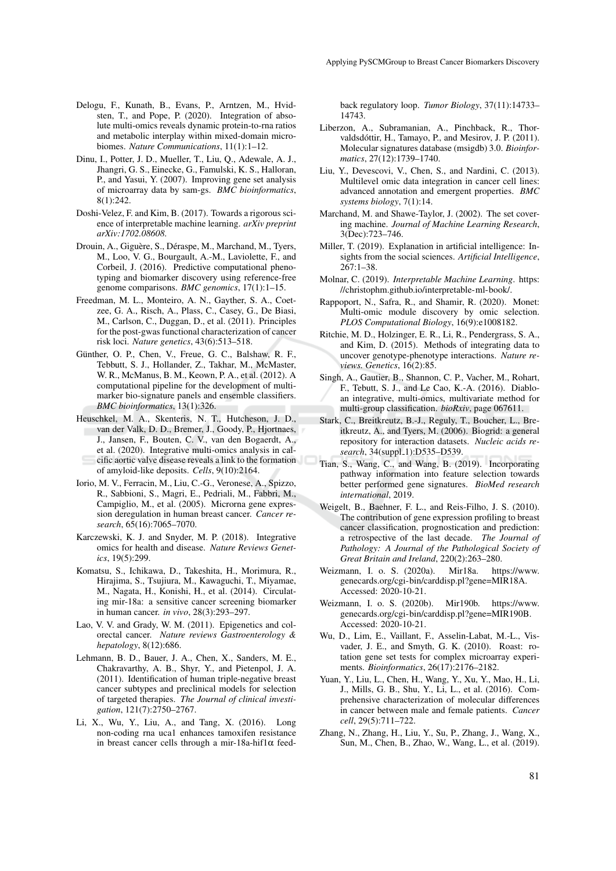- Delogu, F., Kunath, B., Evans, P., Arntzen, M., Hvidsten, T., and Pope, P. (2020). Integration of absolute multi-omics reveals dynamic protein-to-rna ratios and metabolic interplay within mixed-domain microbiomes. *Nature Communications*, 11(1):1–12.
- Dinu, I., Potter, J. D., Mueller, T., Liu, Q., Adewale, A. J., Jhangri, G. S., Einecke, G., Famulski, K. S., Halloran, P., and Yasui, Y. (2007). Improving gene set analysis of microarray data by sam-gs. *BMC bioinformatics*, 8(1):242.
- Doshi-Velez, F. and Kim, B. (2017). Towards a rigorous science of interpretable machine learning. *arXiv preprint arXiv:1702.08608*.
- Drouin, A., Giguère, S., Déraspe, M., Marchand, M., Tyers, M., Loo, V. G., Bourgault, A.-M., Laviolette, F., and Corbeil, J. (2016). Predictive computational phenotyping and biomarker discovery using reference-free genome comparisons. *BMC genomics*, 17(1):1–15.
- Freedman, M. L., Monteiro, A. N., Gayther, S. A., Coetzee, G. A., Risch, A., Plass, C., Casey, G., De Biasi, M., Carlson, C., Duggan, D., et al. (2011). Principles for the post-gwas functional characterization of cancer risk loci. *Nature genetics*, 43(6):513–518.
- Günther, O. P., Chen, V., Freue, G. C., Balshaw, R. F., Tebbutt, S. J., Hollander, Z., Takhar, M., McMaster, W. R., McManus, B. M., Keown, P. A., et al. (2012). A computational pipeline for the development of multimarker bio-signature panels and ensemble classifiers. *BMC bioinformatics*, 13(1):326.
- Heuschkel, M. A., Skenteris, N. T., Hutcheson, J. D., van der Valk, D. D., Bremer, J., Goody, P., Hjortnaes, J., Jansen, F., Bouten, C. V., van den Bogaerdt, A., et al. (2020). Integrative multi-omics analysis in calcific aortic valve disease reveals a link to the formation of amyloid-like deposits. *Cells*, 9(10):2164.
- Iorio, M. V., Ferracin, M., Liu, C.-G., Veronese, A., Spizzo, R., Sabbioni, S., Magri, E., Pedriali, M., Fabbri, M., Campiglio, M., et al. (2005). Microrna gene expression deregulation in human breast cancer. *Cancer research*, 65(16):7065–7070.
- Karczewski, K. J. and Snyder, M. P. (2018). Integrative omics for health and disease. *Nature Reviews Genetics*, 19(5):299.
- Komatsu, S., Ichikawa, D., Takeshita, H., Morimura, R., Hirajima, S., Tsujiura, M., Kawaguchi, T., Miyamae, M., Nagata, H., Konishi, H., et al. (2014). Circulating mir-18a: a sensitive cancer screening biomarker in human cancer. *in vivo*, 28(3):293–297.
- Lao, V. V. and Grady, W. M. (2011). Epigenetics and colorectal cancer. *Nature reviews Gastroenterology & hepatology*, 8(12):686.
- Lehmann, B. D., Bauer, J. A., Chen, X., Sanders, M. E., Chakravarthy, A. B., Shyr, Y., and Pietenpol, J. A. (2011). Identification of human triple-negative breast cancer subtypes and preclinical models for selection of targeted therapies. *The Journal of clinical investigation*, 121(7):2750–2767.
- Li, X., Wu, Y., Liu, A., and Tang, X. (2016). Long non-coding rna uca1 enhances tamoxifen resistance in breast cancer cells through a mir-18a-hif1α feed-

back regulatory loop. *Tumor Biology*, 37(11):14733– 14743.

- Liberzon, A., Subramanian, A., Pinchback, R., Thorvaldsdóttir, H., Tamayo, P., and Mesirov, J. P. (2011). Molecular signatures database (msigdb) 3.0. *Bioinformatics*, 27(12):1739–1740.
- Liu, Y., Devescovi, V., Chen, S., and Nardini, C. (2013). Multilevel omic data integration in cancer cell lines: advanced annotation and emergent properties. *BMC systems biology*, 7(1):14.
- Marchand, M. and Shawe-Taylor, J. (2002). The set covering machine. *Journal of Machine Learning Research*, 3(Dec):723–746.
- Miller, T. (2019). Explanation in artificial intelligence: Insights from the social sciences. *Artificial Intelligence*,  $267:1-38.$
- Molnar, C. (2019). *Interpretable Machine Learning*. https: //christophm.github.io/interpretable-ml-book/.
- Rappoport, N., Safra, R., and Shamir, R. (2020). Monet: Multi-omic module discovery by omic selection. *PLOS Computational Biology*, 16(9):e1008182.
- Ritchie, M. D., Holzinger, E. R., Li, R., Pendergrass, S. A., and Kim, D. (2015). Methods of integrating data to uncover genotype-phenotype interactions. *Nature reviews. Genetics*, 16(2):85.
- Singh, A., Gautier, B., Shannon, C. P., Vacher, M., Rohart, F., Tebutt, S. J., and Le Cao, K.-A. (2016). Diabloan integrative, multi-omics, multivariate method for multi-group classification. *bioRxiv*, page 067611.
- Stark, C., Breitkreutz, B.-J., Reguly, T., Boucher, L., Breitkreutz, A., and Tyers, M. (2006). Biogrid: a general repository for interaction datasets. *Nucleic acids re*search, 34(suppl<sub>-1</sub>):D535-D539.
- Tian, S., Wang, C., and Wang, B. (2019). Incorporating pathway information into feature selection towards better performed gene signatures. *BioMed research international*, 2019.
- Weigelt, B., Baehner, F. L., and Reis-Filho, J. S. (2010). The contribution of gene expression profiling to breast cancer classification, prognostication and prediction: a retrospective of the last decade. *The Journal of Pathology: A Journal of the Pathological Society of Great Britain and Ireland*, 220(2):263–280.
- Weizmann, I. o. S. (2020a). Mir18a. https://www. genecards.org/cgi-bin/carddisp.pl?gene=MIR18A. Accessed: 2020-10-21.
- Weizmann, I. o. S. (2020b). Mir190b. https://www. genecards.org/cgi-bin/carddisp.pl?gene=MIR190B. Accessed: 2020-10-21.
- Wu, D., Lim, E., Vaillant, F., Asselin-Labat, M.-L., Visvader, J. E., and Smyth, G. K. (2010). Roast: rotation gene set tests for complex microarray experiments. *Bioinformatics*, 26(17):2176–2182.
- Yuan, Y., Liu, L., Chen, H., Wang, Y., Xu, Y., Mao, H., Li, J., Mills, G. B., Shu, Y., Li, L., et al. (2016). Comprehensive characterization of molecular differences in cancer between male and female patients. *Cancer cell*, 29(5):711–722.
- Zhang, N., Zhang, H., Liu, Y., Su, P., Zhang, J., Wang, X., Sun, M., Chen, B., Zhao, W., Wang, L., et al. (2019).